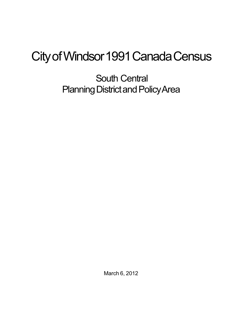## City of Windsor 1991 Canada Census

South Central Planning District and Policy Area

March 6, 2012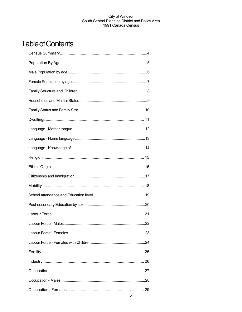## **Table of Contents**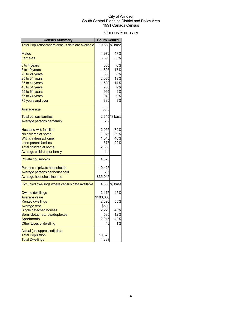## Census Summary

| <b>Census Summary</b>                                | <b>South Central</b> |               |
|------------------------------------------------------|----------------------|---------------|
| Total Population where census data are available     |                      | 10,680 % base |
|                                                      |                      |               |
| <b>Males</b><br><b>Females</b>                       | 4,970                | 47%           |
|                                                      | 5,690                | 53%           |
| 0 to 4 years                                         | 635                  | 6%            |
| 5 to 19 years                                        | 1,805                | 17%           |
| 20 to 24 years                                       | 865                  | 8%            |
| 25 to 34 years                                       | 2,065                | 19%           |
| 35 to 44 years                                       | 1,500                | 14%           |
| 45 to 54 years                                       | 965                  | 9%<br>9%      |
| 55 to 64 years<br>65 to 74 years                     | 995<br>940           | 9%            |
| 75 years and over                                    | 880                  | 8%            |
|                                                      |                      |               |
| Average age                                          | 38.6                 |               |
| <b>Total census families</b>                         |                      | 2,615 % base  |
| Average persons per family                           | 2.9                  |               |
|                                                      |                      |               |
| <b>Husband-wife families</b>                         | 2,055                | 79%           |
| No children at home                                  | 1,025                | 39%           |
| With children at home                                | 1,040                | 40%           |
| Lone-parent families                                 | 575                  | 22%           |
| Total children at home                               | 2,835                |               |
| Average children per family                          | 1.1                  |               |
| <b>Private households</b>                            | 4,875                |               |
| Persons in private households                        | 10,425               |               |
| Average persons per household                        | 2.1                  |               |
| Average household income                             | \$35,015             |               |
| Occupied dwellings where census data available       |                      | 4,865 % base  |
|                                                      |                      |               |
| <b>Owned dwellings</b>                               | 2,175                | 45%           |
| <b>Average value</b>                                 | \$100,863            |               |
| <b>Rented dwellings</b>                              | 2,690                | 55%           |
| Average rent                                         | \$593<br>2,225       | 46%           |
| Single detached houses<br>Semi-detached/row/duplexes | 580                  | 12%           |
| <b>Apartments</b>                                    | 2,045                | 42%           |
| Other types of dwelling                              | 40                   | 1%            |
|                                                      |                      |               |
| Actual (unsuppressed) data:                          |                      |               |
| <b>Total Population</b>                              | 10,675               |               |
| <b>Total Dwellings</b>                               | 4,887                |               |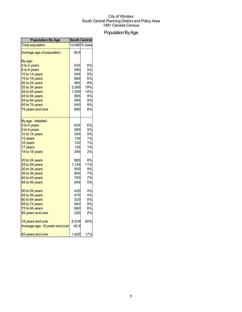## Population By Age

| <b>Population By Age</b>       | <b>South Central</b> |               |
|--------------------------------|----------------------|---------------|
| <b>Total population</b>        |                      | 10,680 % base |
| Average age of population      | 38.6                 |               |
| By age:                        |                      |               |
| 0 to 4 years                   | 635                  | 6%            |
| 5 to 9 years                   | 580                  | 5%            |
| 10 to 14 years                 | 545                  | 5%            |
| 15 to 19 years                 | 680                  | 6%            |
| 20 to 24 years                 | 865                  | 8%            |
| 25 to 34 years                 | 2,065                | 19%           |
| 35 to 44 years                 | 1,500                | 14%           |
| 45 to 54 years                 | 965                  | 9%            |
| 55 to 64 years                 | 995                  | 9%            |
| 65 to 74 years                 | 940                  | 9%            |
| 75 years and over              | 880                  | 8%            |
| By age - detailed:             |                      |               |
| 0 to 4 years                   | 635                  | 6%            |
| 5 to 9 years                   | 580                  | 5%            |
| 10 to 14 years                 | 545                  | 5%            |
| 15 years                       | 130                  | 1%            |
| 16 years                       | 120                  | 1%            |
| 17 years                       | 135                  | 1%            |
| 18 to 19 years                 | 295                  | 3%            |
| 20 to 24 years                 | 865                  | 8%            |
| 25 to 29 years                 | 1,145                | 11%           |
| 30 to 34 years                 | 920                  | 9%            |
| 35 to 39 years                 | 800                  | 7%            |
| 40 to 44 years                 | 700                  | 7%            |
| 45 to 49 years                 | 545                  | 5%            |
| 50 to 54 years                 | 420                  | 4%            |
| 55 to 59 years                 | 475                  | 4%            |
| 60 to 64 years                 | 520                  | 5%            |
| 65 to 74 years                 | 940                  | 9%            |
| 75 to 84 years                 | 660                  | 6%            |
| 85 years and over              | 220                  | 2%            |
| 18 years and over              | 8,535                | 80%           |
| Average age, 18 years and over | 45.9                 |               |
| 65 years and over              | 1,820                | 17%           |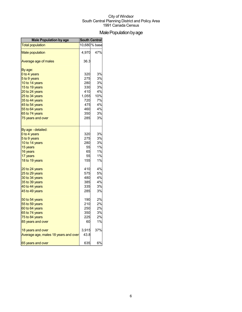## Male Population by age

| <b>Male Population by age</b>        | <b>South Central</b> |               |
|--------------------------------------|----------------------|---------------|
| <b>Total population</b>              |                      | 10,680 % base |
| <b>Male population</b>               | 4,970                | 47%           |
| Average age of males                 | 36.3                 |               |
| By age:                              |                      |               |
| 0 to 4 years                         | 320                  | 3%            |
| 5 to 9 years                         | 275                  | 3%            |
| 10 to 14 years                       | 280                  | 3%            |
| 15 to 19 years                       | 330                  | 3%            |
| 20 to 24 years                       | 410                  | 4%            |
| 25 to 34 years                       | 1,055                | 10%           |
| 35 to 44 years                       | 720                  | 7%            |
| 45 to 54 years                       | 475                  | 4%            |
| 55 to 64 years                       | 460                  | 4%            |
| 65 to 74 years                       | 350                  | 3%            |
| 75 years and over                    | 285                  | 3%            |
| By age - detailed:                   |                      |               |
| 0 to 4 years                         | 320                  | 3%            |
| 5 to 9 years                         | 275                  | 3%            |
| 10 to 14 years                       | 280                  | 3%            |
| 15 years                             | 55                   | 1%            |
| 16 years                             | 65                   | 1%            |
| 17 years                             | 55                   | 1%            |
| 18 to 19 years                       | 155                  | 1%            |
| 20 to 24 years                       | 410                  | 4%            |
| 25 to 29 years                       | 575                  | 5%            |
| 30 to 34 years                       | 480                  | 4%            |
| 35 to 39 years                       | 385                  | 4%            |
| 40 to 44 years                       | 335                  | 3%            |
| 45 to 49 years                       | 285                  | 3%            |
| 50 to 54 years                       | 190                  | 2%            |
| 55 to 59 years                       | 210                  | 2%            |
| 60 to 64 years                       | 250                  | 2%            |
| 65 to 74 years                       | 350                  | 3%            |
| 75 to 84 years                       | 225                  | 2%            |
| 85 years and over                    | 60                   | 1%            |
| 18 years and over                    | 3,915                | 37%           |
| Average age, males 18 years and over | 43.8                 |               |
| 65 years and over                    | 635                  | 6%            |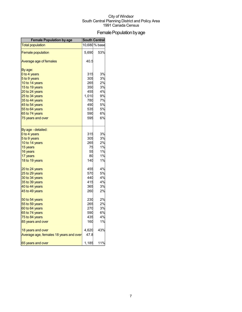## Female Population by age

| <b>Female Population by age</b>        | <b>South Central</b> |               |
|----------------------------------------|----------------------|---------------|
| <b>Total population</b>                |                      | 10,680 % base |
| <b>Female population</b>               | 5,690                | 53%           |
| Average age of females                 | 40.5                 |               |
| By age:                                |                      |               |
| 0 to 4 years                           | 315                  | 3%            |
| 5 to 9 years                           | 305                  | 3%            |
| 10 to 14 years                         | 265                  | 2%            |
| 15 to 19 years                         | 350                  | 3%            |
| 20 to 24 years                         | 455                  | 4%            |
| 25 to 34 years                         | 1,010                | 9%            |
| 35 to 44 years                         | 780                  | 7%            |
| 45 to 54 years                         | 490                  | 5%            |
| 55 to 64 years                         | 535                  | 5%            |
| 65 to 74 years                         | 590                  | 6%            |
| 75 years and over                      | 595                  | 6%            |
| By age - detailed:                     |                      |               |
| 0 to 4 years                           | 315                  | 3%            |
| 5 to 9 years                           | 305                  | 3%            |
| 10 to 14 years                         | 265                  | 2%            |
| 15 years                               | 75                   | 1%            |
| 16 years                               | 55                   | 1%            |
| 17 years                               | 80                   | 1%            |
| 18 to 19 years                         | 140                  | 1%            |
| 20 to 24 years                         | 455                  | 4%            |
| 25 to 29 years                         | 570                  | 5%            |
| 30 to 34 years                         | 440                  | 4%            |
| 35 to 39 years                         | 415                  | 4%            |
| 40 to 44 years                         | 365                  | 3%            |
| 45 to 49 years                         | 260                  | 2%            |
| 50 to 54 years                         | 230                  | 2%            |
| 55 to 59 years                         | 265                  | 2%            |
| 60 to 64 years                         | 270                  | 3%            |
| 65 to 74 years                         | 590                  | 6%            |
| 75 to 84 years                         | 435                  | 4%            |
| 85 years and over                      | 160                  | 1%            |
| 18 years and over                      | 4,620                | 43%           |
| Average age, females 18 years and over | 47.8                 |               |
| 65 years and over                      | 1,185                | 11%           |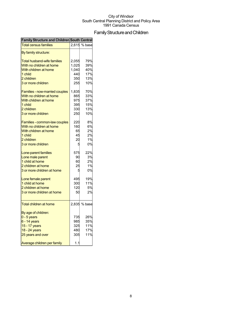## Family Structure and Children

| <b>Family Structure and Children South Central</b> |       |              |
|----------------------------------------------------|-------|--------------|
| <b>Total census families</b>                       | 2,615 | % base       |
| By family structure:                               |       |              |
| <b>Total husband-wife families</b>                 | 2,055 | 79%          |
| With no children at home                           | 1,025 | 39%          |
| With children at home                              | 1,040 | 40%          |
| 1 child                                            | 440   | 17%          |
| 2 children                                         | 350   | 13%          |
| 3 or more children                                 | 255   | 10%          |
| Families - now-married couples                     | 1,835 | 70%          |
| With no children at home                           | 865   | 33%          |
| With children at home                              | 975   | 37%          |
|                                                    |       |              |
| 1 child                                            | 395   | 15%          |
| 2 children                                         | 330   | 13%          |
| 3 or more children                                 | 250   | 10%          |
| Families - common-law couples                      | 220   | 8%           |
| With no children at home                           | 160   | 6%           |
| With children at home                              | 65    | 2%           |
| 1 child                                            | 45    | 2%           |
| 2 children                                         | 20    | 1%           |
| 3 or more children                                 | 5     | 0%           |
| Lone-parent families                               | 575   | 22%          |
| Lone male parent                                   | 90    | 3%           |
| 1 child at home                                    | 60    | 2%           |
| 2 children at home                                 | 25    | 1%           |
| 3 or more children at home                         | 5     | 0%           |
| Lone female parent                                 | 495   | 19%          |
| 1 child at home                                    | 300   | 11%          |
| 2 children at home                                 | 120   | 5%           |
| 3 or more children at home                         | 50    | 2%           |
| <b>Total children at home</b>                      |       | 2,835 % base |
|                                                    |       |              |
| By age of children:<br>$0 - 5$ years               | 735   | 26%          |
|                                                    | 985   | 35%          |
| $6 - 14$ years                                     | 325   | 11%          |
| 15 - 17 years                                      |       |              |
| 18 - 24 years                                      | 480   | 17%          |
| 25 years and over                                  | 305   | 11%          |
| Average children per family                        | 1.1   |              |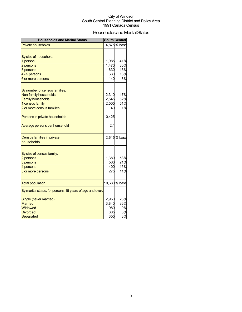## Households and Marital Status

| <b>Households and Marital Status</b>                     |                | <b>South Central</b> |
|----------------------------------------------------------|----------------|----------------------|
| <b>Private households</b>                                |                | 4,875 % base         |
|                                                          |                |                      |
| By size of household:                                    |                |                      |
| 1 person                                                 | 1,985          | 41%                  |
| 2 persons                                                | 1,470          | 30%                  |
| 3 persons                                                | 630            | 13%                  |
| 4 - 5 persons                                            | 630            | 13%                  |
| 6 or more persons                                        | 140            | 3%                   |
|                                                          |                |                      |
| By number of census families:                            |                |                      |
| Non-family households<br><b>Family households</b>        | 2,310          | 47%<br>52%           |
| 1 census family                                          | 2,545<br>2,505 | 51%                  |
| 2 or more census families                                | 40             | 1%                   |
|                                                          |                |                      |
| Persons in private households                            | 10,425         |                      |
| Average persons per household                            | 2.1            |                      |
| Census families in private                               |                | 2,615 % base         |
| households                                               |                |                      |
|                                                          |                |                      |
| By size of census family:                                |                |                      |
| 2 persons                                                | 1,380<br>560   | 53%<br>21%           |
| 3 persons<br>4 persons                                   | 400            | 15%                  |
| 5 or more persons                                        | 275            | 11%                  |
|                                                          |                |                      |
| <b>Total population</b>                                  |                | 10,680 % base        |
| By marital status, for persons 15 years of age and over: |                |                      |
| Single (never married)                                   | 2,950          | 28%                  |
| <b>Married</b>                                           | 3,840          | 36%                  |
| Widowed                                                  | 980            | 9%                   |
| <b>Divorced</b>                                          | 805            | 8%                   |
| Separated                                                | 355            | 3%                   |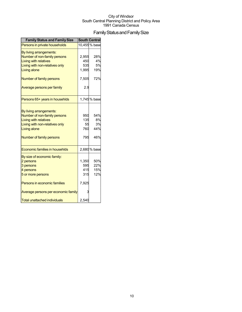## Family Status and Family Size

| <b>Family Status and Family Size</b> |       | <b>South Central</b> |
|--------------------------------------|-------|----------------------|
| Persons in private households        |       | 10,455 % base        |
| By living arrangements:              |       |                      |
| Number of non-family persons         | 2,955 | 28%                  |
| <b>Living with relatives</b>         | 450   | 4%                   |
| Living with non-relatives only       | 535   | 5%                   |
| <b>Living alone</b>                  | 1,995 | 19%                  |
| Number of family persons             | 7,505 | 72%                  |
| Average persons per family           | 2.9   |                      |
| Persons 65+ years in househlds       |       | 1,745% base          |
|                                      |       |                      |
| By living arrangements:              |       |                      |
| Number of non-family persons         | 950   | 54%                  |
| <b>Living with relatives</b>         | 135   | 8%                   |
| Living with non-relatives only       | 55    | 3%                   |
| <b>Living alone</b>                  | 760   | 44%                  |
| Number of family persons             | 795   | 46%                  |
| Economic families in househlds       |       | 2,680 % base         |
| By size of economic family:          |       |                      |
| 2 persons                            | 1,350 | 50%                  |
| 3 persons                            | 595   | 22%                  |
| 4 persons                            | 415   | 15%                  |
| 5 or more persons                    | 315   | 12%                  |
| Persons in economic families         | 7,925 |                      |
| Average persons per economic family  | 3     |                      |
| <b>Total unattached individuals</b>  | 2,540 |                      |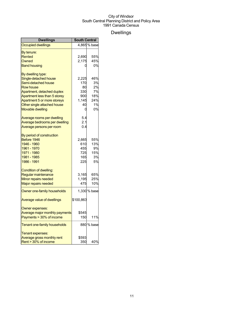## Dwellings

| <b>Dwellings</b>               | <b>South Central</b> |              |
|--------------------------------|----------------------|--------------|
| <b>Occupied dwellings</b>      |                      | 4,865% base  |
| By tenure:                     |                      |              |
| Rented                         | 2,690                | 55%          |
| Owned                          | 2,175                | 45%          |
| <b>Band housing</b>            | 0                    | 0%           |
| By dwelling type:              |                      |              |
| Single-detached house          | 2,225                | 46%          |
| Semi-detached house            | 170                  | 3%           |
| <b>Row house</b>               | 80                   | 2%           |
| Apartment, detached duplex     | 330                  | 7%           |
| Apartment less than 5 storey   | 900                  | 18%          |
| Apartment 5 or more storeys    | 1,145                | 24%          |
| Other single attached house    | 40                   | 1%           |
| Movable dwelling               | 0                    | 0%           |
| Average rooms per dwelling     | 5.4                  |              |
| Average bedrooms per dwelling  | 2.1                  |              |
| Average persons per room       | 0.4                  |              |
| By period of construction      |                      |              |
| Before 1946                    | 2,665                | 55%          |
| 1946 - 1960                    | 610                  | 13%          |
| 1961 - 1970                    | 455                  | 9%           |
| 1971 - 1980                    | 725                  | 15%          |
| 1981 - 1985                    | 165                  | 3%           |
| 1986 - 1991                    | 225                  | 5%           |
| Condition of dwelling:         |                      |              |
| Regular maintenance            | 3,165                | 65%          |
| Minor repairs needed           | 1,195                | 25%          |
| Major repairs needed           | 475                  | 10%          |
| Owner one-family households    |                      | 1,330 % base |
| Average value of dwellings     | \$100,863            |              |
| Owner expenses:                |                      |              |
| Average major monthly payments | \$545                |              |
| Payments > 30% of income       | 150                  | 11%          |
| Tenant one-family households   |                      | 880 % base   |
| Tenant expenses:               |                      |              |
| Average gross monthly rent     | \$593                |              |
| Rent > 30% of income           | 350                  | 40%          |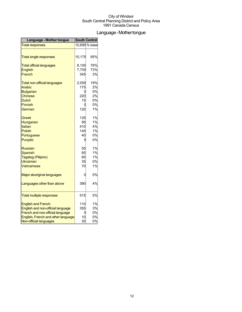## Language-Mothertongue

| Language - Mother tongue            | <b>South Central</b> |               |
|-------------------------------------|----------------------|---------------|
| <b>Total responses</b>              |                      | 10,690 % base |
|                                     |                      |               |
| <b>Total single responses</b>       | 10,175               | 95%           |
| <b>Total official languages</b>     | 8,100                | 76%           |
| English                             | 7,755                | 73%           |
| French                              | 345                  | 3%            |
| <b>Total non-official languages</b> | 2,055                | 19%           |
| Arabic                              | 175                  | 2%            |
| <b>Bulgarian</b>                    | 0                    | 0%            |
| Chinese                             | 220                  | 2%            |
| <b>Dutch</b>                        | 15                   | 0%            |
| <b>Finnish</b>                      | 0                    | 0%            |
| German                              | 120                  | 1%            |
| Greek                               | 135                  | 1%            |
| Hungarian                           | 95                   | 1%            |
| Italian                             | 410                  | 4%            |
| <b>Polish</b>                       | 145                  | 1%            |
| Portuguese                          | 40                   | 0%            |
| Punjabi                             | 5                    | 0%            |
| Russian                             | 55                   | 1%            |
| <b>Spanish</b>                      | 65                   | 1%            |
| Tagalog (Pilipino)                  | 60                   | 1%            |
| <b>Ukrainian</b>                    | 35                   | 0%            |
| Vietnamese                          | 70                   | 1%            |
| Major aboriginal languages          | 0                    | 0%            |
| Languages other than above          | 390                  | 4%            |
| <b>Total multiple responses</b>     | 515                  | 5%            |
| <b>English and French</b>           | 110                  | 1%            |
| English and non-official language   | 355                  | 3%            |
| French and non-official language    | 5                    | 0%            |
| English, French and other language  | 10                   | 0%            |
| Non-official languages              | 30                   | 0%            |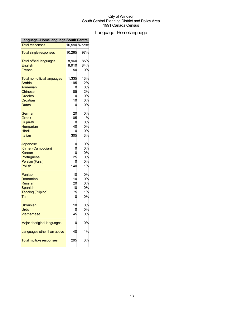## Language-Homelanguage

| Language - Home language South Central |        |               |
|----------------------------------------|--------|---------------|
| <b>Total responses</b>                 |        | 10,590 % base |
| <b>Total single responses</b>          | 10,295 | 97%           |
| <b>Total official languages</b>        | 8,960  | 85%           |
| <b>English</b>                         | 8,910  | 84%           |
| French                                 | 50     | 0%            |
| <b>Total non-official languages</b>    | 1,335  | 13%           |
| <b>Arabic</b>                          | 195    | 2%            |
| <b>Armenian</b>                        | C      | 0%            |
| Chinese                                | 185    | 2%            |
| <b>Creoles</b>                         |        | 0%            |
| Croatian                               | 10     | 0%            |
| <b>Dutch</b>                           | C      | 0%            |
| German                                 | 20     | 0%            |
| Greek                                  | 105    | 1%            |
| Gujarati                               |        | 0%            |
| Hungarian                              | 40     | 0%            |
| Hindi                                  |        | 0%            |
| <b>Italian</b>                         | 305    | 3%            |
| Japanese                               |        | 0%            |
| Khmer (Cambodian)                      |        | 0%            |
| Korean                                 |        | 0%            |
| Portuguese                             | 25     | 0%            |
| Persian (Farsi)                        |        | 0%            |
| <b>Polish</b>                          | 140    | 1%            |
| Punjabi                                | 10     | 0%            |
| Romanian                               | 10     | 0%            |
| <b>Russian</b>                         | 20     | 0%            |
| Spanish                                | 10     | 0%            |
| Tagalog (Pilipino)                     | 75     | 1%            |
| Tamil                                  | C      | 0%            |
| Ukrainian                              | 10     | 0%            |
| Urdu                                   |        | 0%            |
| Vietnamese                             | 45     | 0%            |
| Major aboriginal languages             |        | 0%            |
| Languages other than above             | 140    | 1%            |
| <b>Total multiple responses</b>        | 295    | 3%            |
|                                        |        |               |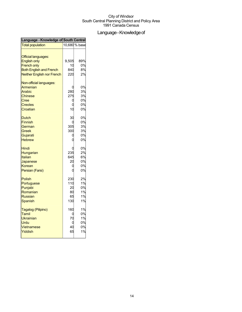## Language - Knowledge of

| Language - Knowledge of South Central |       |               |
|---------------------------------------|-------|---------------|
| <b>Total population</b>               |       | 10,680 % base |
| <b>Official languages:</b>            |       |               |
| <b>English only</b>                   | 9,505 | 89%           |
| <b>French only</b>                    | 10    | 0%            |
| <b>Both English and French</b>        | 840   | 8%            |
| Neither English nor French            | 220   | 2%            |
| Non-official languages:               |       |               |
| Armenian                              |       | 0%            |
| Arabic                                | 280   | 3%            |
| <b>Chinese</b>                        | 275   | 3%            |
| Cree                                  | C     | 0%            |
| <b>Creoles</b>                        |       | 0%            |
| Croatian                              | 10    | 0%            |
| Dutch                                 | 30    | 0%            |
| <b>Finnish</b>                        |       | 0%            |
| German                                | 305   | 3%            |
| <b>Greek</b>                          | 300   | 3%            |
| Gujarati                              | 0     | 0%            |
| <b>Hebrew</b>                         |       | 0%            |
| Hindi                                 |       | 0%            |
| Hungarian                             | 235   | 2%            |
| Italian                               | 645   | 6%            |
| Japanese                              | 20    | 0%            |
| Korean                                | C     | 0%            |
| Persian (Farsi)                       |       | 0%            |
| <b>Polish</b>                         | 230   | 2%            |
| Portuguese                            | 110   | 1%            |
| Punjabi                               | 20    | 0%            |
| Romanian                              | 80    | 1%            |
| <b>Russian</b>                        | 65    | 1%            |
| Spanish                               | 130   | 1%            |
| Tagalog (Pilipino)                    | 160   | 1%            |
| Tamil                                 | C     | 0%            |
| <b>Ukrainian</b>                      | 70    | 1%            |
| Urdu                                  | ſ     | 0%            |
| <b>Vietnamese</b>                     | 40    | 0%            |
| Yiddish                               | 65    | 1%            |
|                                       |       |               |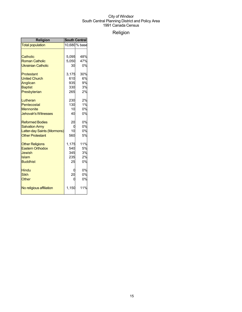## Religion

| <b>Religion</b>             | <b>South Central</b> |               |
|-----------------------------|----------------------|---------------|
| <b>Total population</b>     |                      | 10,680 % base |
|                             |                      |               |
| Catholic                    | 5,095                | 48%           |
| <b>Roman Catholic</b>       | 5,050                | 47%           |
| <b>Ukrainian Catholic</b>   | 30                   | 0%            |
| Protestant                  | 3,175                | 30%           |
| <b>United Church</b>        | 610                  | 6%            |
| Anglican                    | 935                  | 9%            |
| <b>Baptist</b>              | 330                  | 3%            |
| Presbyterian                | 265                  | 2%            |
| Lutheran                    | 230                  | 2%            |
| Pentecostal                 | 130                  | 1%            |
| <b>Mennonite</b>            | 10                   | 0%            |
| <b>Jehovah's Witnesses</b>  | 40                   | 0%            |
| <b>Reformed Bodies</b>      | 20                   | 0%            |
| <b>Salvation Army</b>       | 0                    | 0%            |
| Latter-day Saints (Mormons) | 10                   | 0%            |
| <b>Other Protestant</b>     | 560                  | 5%            |
| <b>Other Religions</b>      | 1,175                | 11%           |
| <b>Eastern Orthodox</b>     | 540                  | 5%            |
| Jewish                      | 345                  | 3%            |
| Islam                       | 235                  | 2%            |
| <b>Buddhist</b>             | 25                   | 0%            |
| <b>Hindu</b>                |                      | 0%            |
| <b>Sikh</b>                 | 20                   | 0%            |
| Other                       | C                    | 0%            |
| No religious affiliation    | 1,150                | 11%           |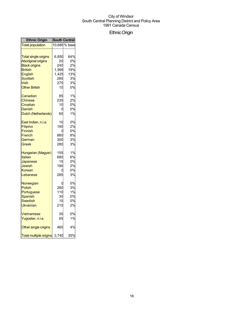## EthnicOrigin

| <b>Ethnic Origin</b>          |       | <b>South Central</b> |
|-------------------------------|-------|----------------------|
| <b>Total population</b>       |       | 10,680 % base        |
|                               |       |                      |
| <b>Total single origins</b>   | 6,850 | 64%                  |
| <b>Aboriginal origins</b>     | 20    | 0%                   |
| <b>Black origins</b>          | 240   | 2%                   |
| <b>British</b>                | 1,995 | 19%                  |
| English                       | 1,425 | 13%                  |
| Scottish                      | 285   | 3%                   |
| Irish                         | 275   | 3%                   |
| <b>Other British</b>          | 10    | 0%                   |
| Canadian                      | 85    | 1%                   |
| Chinese                       | 235   | 2%                   |
| Croatian                      | 10    | 0%                   |
| Danish                        | C     | 0%                   |
| Dutch (Netherlands)           | 60    | 1%                   |
| East Indian, n.i.e.           | 10    | 0%                   |
| Filipino                      | 190   | 2%                   |
| <b>Finnish</b>                | በ     | 0%                   |
| French                        | 860   | 8%                   |
| German                        | 300   | 3%                   |
| Greek                         | 280   | 3%                   |
| Hungarian (Magyar)            | 155   | 1%                   |
| Italian                       | 680   | 6%                   |
| Japanese                      | 15    | 0%                   |
| Jewish                        | 190   | 2%                   |
| Korean                        | О     | 0%                   |
| Lebanese                      | 285   | 3%                   |
| Norwegian                     |       | 0%                   |
| Polish                        | 280   | 3%                   |
| Portuguese                    | 110   | 1%                   |
| Spanish                       | 30    | 0%                   |
| Swedish                       | 10    | 0%                   |
| Ukrainian                     | 210   | 2%                   |
| Vietnamese                    | 30    | 0%                   |
| Yugoslav, n.i.e.              | 65    | 1%                   |
| Other single origins          | 460   | 4%                   |
| <b>Total multiple origins</b> | 3,740 | 35%                  |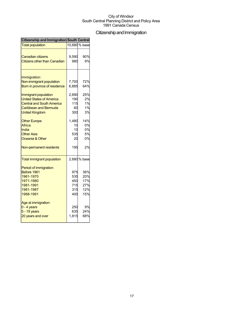## Citizenship and Immigration

| <b>Citizenship and Immigration South Central</b> |       |               |
|--------------------------------------------------|-------|---------------|
| <b>Total population</b>                          |       | 10,680 % base |
|                                                  |       |               |
| Canadian citizens                                | 9,590 | 90%           |
| <b>Citizens other than Canadian</b>              | 980   | 9%            |
| Immigration:                                     |       |               |
| Non-immigrant population                         | 7,700 | 72%           |
| Born in province of residence                    | 6,885 | 64%           |
|                                                  |       |               |
| Immigrant population                             | 2,690 | 25%           |
| <b>United States of America</b>                  | 190   | 2%            |
| <b>Central and South America</b>                 | 115   | 1%            |
| Caribbean and Bermuda                            | 60    | 1%            |
| <b>United Kingdom</b>                            | 300   | 3%            |
| <b>Other Europe</b>                              | 1,480 | 14%           |
| Africa                                           | 10    | 0%            |
| India                                            | 10    | 0%            |
| <b>Other Asia</b>                                | 535   | 5%            |
| Oceania & Other                                  | 20    | 0%            |
| Non-permanent residents                          | 195   | 2%            |
| <b>Total immigrant population</b>                |       | 2,680 % base  |
| Period of immigration:                           |       |               |
| Before 1961                                      | 975   | 36%           |
| 1961-1970                                        | 535   | 20%           |
| 1971-1980                                        | 450   | 17%           |
| 1981-1991                                        | 715   | 27%           |
| 1981-1987                                        | 315   | 12%           |
| 1988-1991                                        | 400   | 15%           |
| Age at immigration:                              |       |               |
| $0 - 4$ years                                    | 250   | 9%            |
| 5 - 19 years                                     | 635   | 24%           |
| 20 years and over                                | 1,815 | 68%           |
|                                                  |       |               |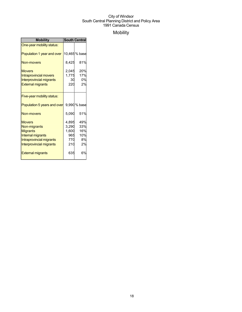## Mobility

| <b>Mobility</b>                                                                                                                      | <b>South Central</b>                         |                                      |
|--------------------------------------------------------------------------------------------------------------------------------------|----------------------------------------------|--------------------------------------|
| One-year mobility status:                                                                                                            |                                              |                                      |
| Population 1 year and over                                                                                                           |                                              | 10,465 % base                        |
| Non-movers                                                                                                                           | 8,425                                        | 81%                                  |
| <b>Movers</b><br>Intraprovincial movers<br><b>Interprovincial migrants</b><br><b>External migrants</b>                               | 2,045<br>30<br>220                           | 20%<br>1,775 17%<br>0%<br>2%         |
| Five-year mobility status:                                                                                                           |                                              |                                      |
| Population 5 years and over                                                                                                          |                                              | 9,990 % base                         |
| Non-movers                                                                                                                           | 5,090                                        | 51%                                  |
| <b>Movers</b><br>Non-migrants<br><b>Migrants</b><br>Internal migrants<br>Intraprovincial migrants<br><b>Interprovincial migrants</b> | 4,895<br>3,290<br>1,600<br>965<br>770<br>210 | 49%<br>33%<br>16%<br>10%<br>8%<br>2% |
| <b>External migrants</b>                                                                                                             | 635                                          | 6%                                   |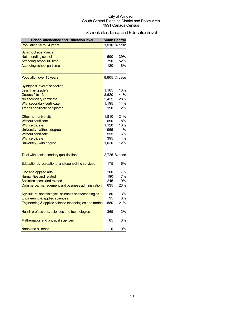## School attendance and Education level

| <b>School attendance and Education level</b>          |       | <b>South Central</b> |
|-------------------------------------------------------|-------|----------------------|
| Population 15 to 24 years                             | 1,510 | % base               |
| By school attendance:                                 |       |                      |
| Not attending school                                  | 590   | 39%                  |
| <b>Attending school full time</b>                     | 790   | 52%                  |
| Attending school part time                            | 120   | 8%                   |
| Population over 15 years                              |       | 8,805 % base         |
| By highest level of schooling:                        |       |                      |
| Less than grade 9                                     | 1,165 | 13%                  |
| Grades 9 to 13                                        | 3,620 | 41%                  |
| No secondary certificate                              | 2,425 | 28%                  |
| With secondary certificate                            | 1,195 | 14%                  |
| Trades certificate or diploma                         | 190   | 2%                   |
| Other non-university                                  | 1,810 | 21%                  |
| <b>Without certificate</b>                            | 690   | 8%                   |
| <b>With certificate</b>                               | 1,120 | 13%                  |
| University - without degree                           | 955   | 11%                  |
| <b>Without certificate</b>                            | 555   | 6%                   |
| <b>With certificate</b>                               | 395   | 4%                   |
| University - with degree                              | 1,020 | 12%                  |
| Total with postsecondary qualifications               |       | 2,725 % base         |
| Educational, recreational and counselling services    | 175   | 6%                   |
| Fine and applied arts                                 | 200   | 7%                   |
| <b>Humanities and related</b>                         | 190   | 7%                   |
| Social sciences and related                           | 245   | 9%                   |
| Commerce, management and business administration      | 635   | 23%                  |
| Agricultural and biological sciences and technologies | 80    | 3%                   |
| Engineering & applied sciences                        | 95    | 3%                   |
| Engineering & applied science technologies and trades | 580   | 21%                  |
| Health professions, sciences and technologies         | 365   | 13%                  |
| Mathematics and physical sciences                     | 85    | 3%                   |
| None and all other                                    | 0     | 0%                   |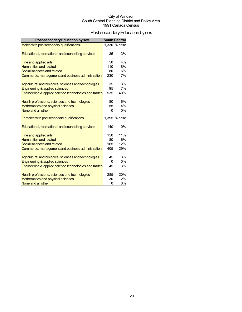## Post-secondary Education by sex

| <b>Post-secondary Education by sex</b>                                             |          | <b>South Central</b> |
|------------------------------------------------------------------------------------|----------|----------------------|
| Males with postsecondary qualifications                                            |          | 1,330 % base         |
|                                                                                    |          |                      |
| Educational, recreational and counselling services                                 | 35       | 3%                   |
|                                                                                    | 50       | 4%                   |
| Fine and applied arts<br><b>Humanities and related</b>                             | 110      | 8%                   |
| Social sciences and related                                                        | 80       | 6%                   |
| Commerce, management and business administration                                   | 230      | 17%                  |
|                                                                                    |          |                      |
| Agricultural and biological sciences and technologies                              | 35       | 3%                   |
| Engineering & applied sciences                                                     | 95       | 7%                   |
| Engineering & applied science technologies and trades                              | 535      | 40%                  |
|                                                                                    |          | 6%                   |
| Health professions, sciences and technologies<br>Mathematics and physical sciences | 80<br>55 | 4%                   |
| None and all other                                                                 |          | 0%                   |
|                                                                                    |          |                      |
| Females with postsecondary qualifications                                          |          | 1,395 % base         |
|                                                                                    |          |                      |
| Educational, recreational and counselling services                                 | 140      | 10%                  |
| Fine and applied arts                                                              | 150      | 11%                  |
| <b>Humanities and related</b>                                                      | 80       | 6%                   |
| Social sciences and related                                                        | 165      | 12%                  |
| Commerce, management and business administration                                   | 405      | 29%                  |
|                                                                                    |          |                      |
| Agricultural and biological sciences and technologies                              | 45       | 3%                   |
| Engineering & applied sciences                                                     |          | 0%                   |
| Engineering & applied science technologies and trades                              | 45       | 3%                   |
| Health professions, sciences and technologies                                      | 285      | 20%                  |
| Mathematics and physical sciences                                                  | 30       | 2%                   |
| None and all other                                                                 |          | 0%                   |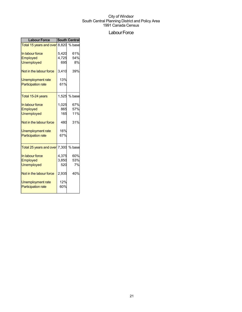## Labour Force

| <b>Labour Force</b>           |       | <b>South Central</b> |
|-------------------------------|-------|----------------------|
| Total 15 years and over 8,820 |       | % base               |
| In labour force               | 5,420 | 61%                  |
| <b>Employed</b>               | 4,725 | 54%                  |
| <b>Unemployed</b>             | 695   | 8%                   |
| Not in the labour force       | 3,410 | 39%                  |
| Unemployment rate             | 13%   |                      |
| <b>Participation rate</b>     | 61%   |                      |
| Total 15-24 years             | 1,525 | % base               |
| In labour force               | 1,025 | 67%                  |
| Employed                      | 865   | 57%                  |
| <b>Unemployed</b>             | 165   | 11%                  |
| Not in the labour force       | 480   | 31%                  |
| Unemployment rate             | 16%   |                      |
| <b>Participation rate</b>     | 67%   |                      |
| Total 25 years and over 7,300 |       | % base               |
| In labour force               | 4,375 | 60%                  |
| Employed                      | 3,850 | 53%                  |
| <b>Unemployed</b>             | 520   | 7%                   |
| Not in the labour force       | 2,935 | 40%                  |
| <b>Unemployment rate</b>      | 12%   |                      |
| <b>Participation rate</b>     | 60%   |                      |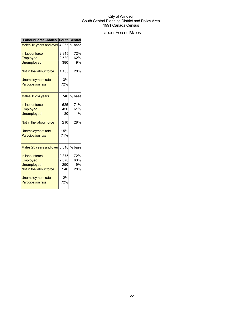## Labour Force - Males

| <b>Labour Force - Males South Central</b> |       |        |
|-------------------------------------------|-------|--------|
| Males 15 years and over 4,065 % base      |       |        |
| In labour force                           | 2,915 | 72%    |
| Employed                                  | 2,530 | 62%    |
| <b>Unemployed</b>                         | 380   | 9%     |
| Not in the labour force                   | 1,155 | 28%    |
| Unemployment rate                         | 13%   |        |
| <b>Participation rate</b>                 | 72%   |        |
| Males 15-24 years                         | 740   | % base |
| In labour force                           | 525   | 71%    |
| Employed                                  | 450   | 61%    |
| <b>Unemployed</b>                         | 80    | 11%    |
| Not in the labour force                   | 210   | 28%    |
| Unemployment rate                         | 15%   |        |
| <b>Participation rate</b>                 | 71%   |        |
| Males 25 years and over 3,310 % base      |       |        |
| In labour force                           | 2,375 | 72%    |
| Employed                                  | 2,070 | 63%    |
| <b>Unemployed</b>                         | 290   | 9%     |
| Not in the labour force                   | 940   | 28%    |
| Unemployment rate                         | 12%   |        |
| <b>Participation rate</b>                 | 72%   |        |
|                                           |       |        |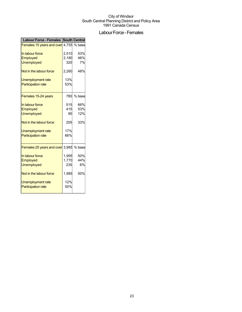## Labour Force - Females

| <b>Labour Force - Females South Central</b>   |       |        |
|-----------------------------------------------|-------|--------|
| <b>Females 15 years and over</b> 4,755 % base |       |        |
| In labour force                               | 2,510 | 53%    |
| Employed                                      | 2,180 | 46%    |
| <b>Unemployed</b>                             | 320   | 7%     |
| Not in the labour force                       | 2,260 | 48%    |
| Unemployment rate                             | 13%   |        |
| <b>Participation rate</b>                     | 53%   |        |
| Females 15-24 years                           | 780   | % base |
| In labour force                               | 515   | 66%    |
| Employed                                      | 415   | 53%    |
| <b>Unemployed</b>                             | 90    | 12%    |
| Not in the labour force                       | 255   | 33%    |
| Unemployment rate                             | 17%   |        |
| <b>Participation rate</b>                     | 66%   |        |
| Females 25 years and over 3,985               |       | % base |
| In labour force                               | 1,995 | 50%    |
| Employed                                      | 1,770 | 44%    |
| <b>Unemployed</b>                             | 235   | 6%     |
| Not in the labour force                       | 1,985 | 50%    |
| Unemployment rate                             | 12%   |        |
| <b>Participation rate</b>                     | 50%   |        |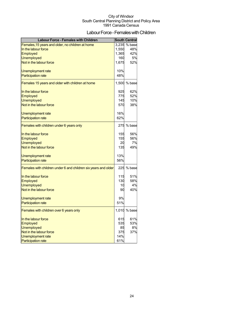## Labour Force - Females with Children

| <b>Labour Force - Females with Children</b>                    |       | <b>South Central</b> |
|----------------------------------------------------------------|-------|----------------------|
| Females, 15 years and older, no children at home               | 3,235 | % base               |
| In the labour force                                            | 1,550 | 48%                  |
| Employed                                                       | 1,365 | 42%                  |
| <b>Unemployed</b>                                              | 160   | 5%                   |
| Not in the labour force                                        | 1,675 | 52%                  |
| Unemployment rate                                              | 10%   |                      |
| <b>Participation rate</b>                                      | 48%   |                      |
| Females 15 years and older with children at home               |       | 1,500 % base         |
| In the labour force                                            | 925   | 62%                  |
| <b>Employed</b>                                                | 775   | 52%                  |
| <b>Unemployed</b>                                              | 145   | 10%                  |
| Not in the labour force                                        | 570   | 38%                  |
| <b>Unemployment rate</b>                                       | 16%   |                      |
| <b>Participation rate</b>                                      | 62%   |                      |
| Females with children under 6 years only                       |       | 275 % base           |
|                                                                |       |                      |
| In the labour force                                            | 155   | 56%                  |
| Employed                                                       | 155   | 56%                  |
| <b>Unemployed</b>                                              | 20    | 7%                   |
| Not in the labour force                                        | 135   | 49%                  |
| Unemployment rate                                              | 13%   |                      |
| <b>Participation rate</b>                                      | 56%   |                      |
| Females with children under 6 and children six years and older |       | 225 % base           |
| In the labour force                                            | 115   | 51%                  |
| Employed                                                       | 130   | 58%                  |
| <b>Unemployed</b>                                              | 10    | 4%                   |
| Not in the labour force                                        | 90    | 40%                  |
| Unemployment rate                                              | 9%    |                      |
| <b>Participation rate</b>                                      | 51%   |                      |
| Females with children over 6 years only                        |       | 1,010 % base         |
| In the labour force                                            | 615   | 61%                  |
| Employed                                                       | 535   | 53%                  |
| <b>Unemployed</b>                                              | 85    | 8%                   |
| Not in the labour force                                        | 375   | 37%                  |
| <b>Unemployment rate</b>                                       | 14%   |                      |
| <b>Participation rate</b>                                      | 61%   |                      |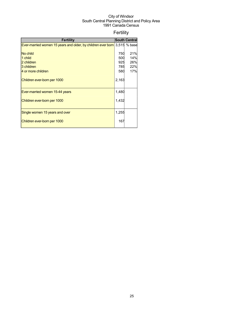## Fertility

| <b>Fertility</b>                                                          |       | <b>South Central</b> |
|---------------------------------------------------------------------------|-------|----------------------|
| Ever-married women 15 years and older, by children ever born 3,515 % base |       |                      |
|                                                                           |       |                      |
| No child                                                                  | 750   | 21%                  |
| 1 child                                                                   | 500   | 14%                  |
| 2 children                                                                | 925   | 26%                  |
| 3 children                                                                | 785   | 22%                  |
| 4 or more children                                                        | 580   | 17%                  |
| Children ever-born per 1000                                               | 2,163 |                      |
| Ever-married women 15-44 years                                            | 1,480 |                      |
| Children ever-born per 1000                                               | 1,432 |                      |
| Single women 15 years and over                                            | 1,255 |                      |
| Children ever-born per 1000                                               | 167   |                      |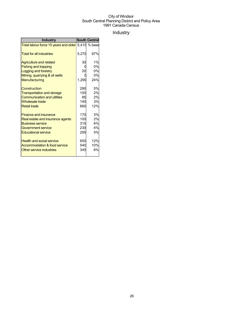## Industry

| <b>Industry</b>                                    |       | <b>South Central</b> |
|----------------------------------------------------|-------|----------------------|
| Total labour force 15 years and older 5,410 % base |       |                      |
| <b>Total for all industries</b>                    | 5,270 | 97%                  |
| <b>Agriculture and related</b>                     | 30    | 1%                   |
| <b>Fishing and trapping</b>                        |       | 0%                   |
| <b>Logging and forestry</b>                        | 20    | 0%                   |
| Mining, quarrying & oil wells                      |       | 0%                   |
| Manufacturing                                      | 1,290 | 24%                  |
| Construction                                       | 280   | 5%                   |
| <b>Transportation and storage</b>                  | 100   | 2%                   |
| <b>Communication and utilities</b>                 | 85    | 2%                   |
| <b>Wholesale trade</b>                             | 140   | 3%                   |
| <b>Retail trade</b>                                | 660   | 12%                  |
| <b>Finance and insurance</b>                       | 170   | 3%                   |
| Real estate and insurance agents                   | 100   | 2%                   |
| <b>Business service</b>                            | 315   | 6%                   |
| Government service                                 | 230   | 4%                   |
| <b>Educational service</b>                         | 295   | 5%                   |
| <b>Health and social service</b>                   | 650   | 12%                  |
| Accommodation & food service                       | 540   | 10%                  |
| Other service industries                           | 345   | 6%                   |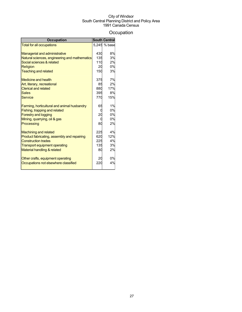## **Occupation**

| <b>Occupation</b>                             |     | <b>South Central</b> |
|-----------------------------------------------|-----|----------------------|
| <b>Total for all occupations</b>              |     | 5.245 % base         |
|                                               |     |                      |
| <b>Managerial and administrative</b>          | 430 | 8%                   |
| Natural sciences, engineering and mathematics | 135 | 3%                   |
| Social sciences & related                     | 110 | 2%                   |
| Religion                                      | 20  | 0%                   |
| <b>Teaching and related</b>                   | 150 | 3%                   |
| Medicine and health                           | 375 | 7%                   |
| Art, literary, recreational                   | 85  | 2%                   |
| <b>Clerical and related</b>                   | 880 | 17%                  |
| <b>Sales</b>                                  | 395 | 8%                   |
| Service                                       | 770 | 15%                  |
| Farming, horticultural and animal husbandry   | 65  | 1%                   |
| Fishing, trapping and related                 |     | 0%                   |
| <b>Forestry and logging</b>                   | 20  | 0%                   |
| Mining, quarrying, oil & gas                  |     | 0%                   |
| Processing                                    | 80  | 2%                   |
| <b>Machining and related</b>                  | 225 | 4%                   |
| Product fabricating, assembly and repairing   | 620 | 12%                  |
| <b>Construction trades</b>                    | 225 | 4%                   |
| <b>Transport equipment operating</b>          | 135 | 3%                   |
| Material handling & related                   | 80  | 2%                   |
| Other crafts, equipment operating             | 20  | 0%                   |
| Occupations not elsewhere classified          | 220 | 4%                   |
|                                               |     |                      |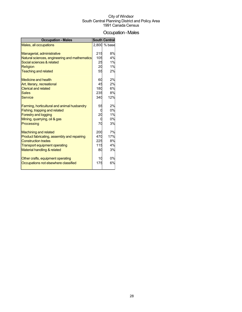## Occupation-Males

| 2,800 % base<br>8%<br>215<br>Managerial, administrative<br>4%<br>105<br>Natural sciences, engineering and mathematics<br>Social sciences & related<br>25<br>1%<br>20<br>1%<br><b>Religion</b><br>55<br><b>Teaching and related</b><br>2%<br>2%<br>60<br><b>Medicine and health</b><br>45<br>2%<br>Art, literary, recreational<br>180<br>6%<br>235<br>8%<br>340<br>12%<br>2%<br>55<br>Farming, horticultural and animal husbandry<br>0%<br>Fishing, trapping and related<br>20<br>1%<br><b>Forestry and logging</b><br>0%<br>Mining, quarrying, oil & gas<br>Processing<br>3%<br>70<br>200<br>7%<br><b>Machining and related</b><br>17%<br>470<br>Product fabricating, assembly and repairing<br>8%<br>225<br>4%<br>115<br><b>Transport equipment operating</b><br>3%<br>80<br>0%<br>10<br>Other crafts, equipment operating<br>6%<br>175 | <b>Occupation - Males</b>              | <b>South Central</b> |
|------------------------------------------------------------------------------------------------------------------------------------------------------------------------------------------------------------------------------------------------------------------------------------------------------------------------------------------------------------------------------------------------------------------------------------------------------------------------------------------------------------------------------------------------------------------------------------------------------------------------------------------------------------------------------------------------------------------------------------------------------------------------------------------------------------------------------------------|----------------------------------------|----------------------|
|                                                                                                                                                                                                                                                                                                                                                                                                                                                                                                                                                                                                                                                                                                                                                                                                                                          | Males, all occupations                 |                      |
|                                                                                                                                                                                                                                                                                                                                                                                                                                                                                                                                                                                                                                                                                                                                                                                                                                          |                                        |                      |
|                                                                                                                                                                                                                                                                                                                                                                                                                                                                                                                                                                                                                                                                                                                                                                                                                                          |                                        |                      |
|                                                                                                                                                                                                                                                                                                                                                                                                                                                                                                                                                                                                                                                                                                                                                                                                                                          |                                        |                      |
|                                                                                                                                                                                                                                                                                                                                                                                                                                                                                                                                                                                                                                                                                                                                                                                                                                          |                                        |                      |
|                                                                                                                                                                                                                                                                                                                                                                                                                                                                                                                                                                                                                                                                                                                                                                                                                                          |                                        |                      |
|                                                                                                                                                                                                                                                                                                                                                                                                                                                                                                                                                                                                                                                                                                                                                                                                                                          |                                        |                      |
|                                                                                                                                                                                                                                                                                                                                                                                                                                                                                                                                                                                                                                                                                                                                                                                                                                          |                                        |                      |
|                                                                                                                                                                                                                                                                                                                                                                                                                                                                                                                                                                                                                                                                                                                                                                                                                                          |                                        |                      |
|                                                                                                                                                                                                                                                                                                                                                                                                                                                                                                                                                                                                                                                                                                                                                                                                                                          | <b>Clerical and related</b>            |                      |
|                                                                                                                                                                                                                                                                                                                                                                                                                                                                                                                                                                                                                                                                                                                                                                                                                                          | <b>Sales</b>                           |                      |
|                                                                                                                                                                                                                                                                                                                                                                                                                                                                                                                                                                                                                                                                                                                                                                                                                                          | <b>Service</b>                         |                      |
|                                                                                                                                                                                                                                                                                                                                                                                                                                                                                                                                                                                                                                                                                                                                                                                                                                          |                                        |                      |
|                                                                                                                                                                                                                                                                                                                                                                                                                                                                                                                                                                                                                                                                                                                                                                                                                                          |                                        |                      |
|                                                                                                                                                                                                                                                                                                                                                                                                                                                                                                                                                                                                                                                                                                                                                                                                                                          |                                        |                      |
|                                                                                                                                                                                                                                                                                                                                                                                                                                                                                                                                                                                                                                                                                                                                                                                                                                          |                                        |                      |
|                                                                                                                                                                                                                                                                                                                                                                                                                                                                                                                                                                                                                                                                                                                                                                                                                                          |                                        |                      |
|                                                                                                                                                                                                                                                                                                                                                                                                                                                                                                                                                                                                                                                                                                                                                                                                                                          |                                        |                      |
|                                                                                                                                                                                                                                                                                                                                                                                                                                                                                                                                                                                                                                                                                                                                                                                                                                          |                                        |                      |
|                                                                                                                                                                                                                                                                                                                                                                                                                                                                                                                                                                                                                                                                                                                                                                                                                                          |                                        |                      |
|                                                                                                                                                                                                                                                                                                                                                                                                                                                                                                                                                                                                                                                                                                                                                                                                                                          | <b>Construction trades</b>             |                      |
|                                                                                                                                                                                                                                                                                                                                                                                                                                                                                                                                                                                                                                                                                                                                                                                                                                          |                                        |                      |
|                                                                                                                                                                                                                                                                                                                                                                                                                                                                                                                                                                                                                                                                                                                                                                                                                                          | <b>Material handling &amp; related</b> |                      |
|                                                                                                                                                                                                                                                                                                                                                                                                                                                                                                                                                                                                                                                                                                                                                                                                                                          |                                        |                      |
|                                                                                                                                                                                                                                                                                                                                                                                                                                                                                                                                                                                                                                                                                                                                                                                                                                          |                                        |                      |
|                                                                                                                                                                                                                                                                                                                                                                                                                                                                                                                                                                                                                                                                                                                                                                                                                                          | Occupations not elsewhere classified   |                      |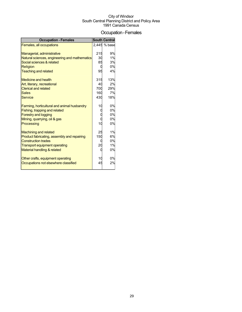### Occupation-Females

| <b>Occupation - Females</b>                                               |     | <b>South Central</b> |
|---------------------------------------------------------------------------|-----|----------------------|
| Females, all occupations                                                  |     | 2.445 % base         |
|                                                                           |     |                      |
| Managerial, administrative                                                | 215 | 9%                   |
| Natural sciences, engineering and mathematics                             | 30  | 1%                   |
| Social sciences & related                                                 | 85  | 3%                   |
| Religion                                                                  |     | 0%                   |
| <b>Teaching and related</b>                                               | 95  | 4%                   |
| Medicine and health                                                       | 315 | 13%                  |
| Art, literary, recreational                                               | 40  | 2%                   |
| <b>Clerical and related</b>                                               | 700 | 29%                  |
| <b>Sales</b>                                                              | 160 | 7%                   |
| <b>Service</b>                                                            | 430 | 18%                  |
|                                                                           |     |                      |
| Farming, horticultural and animal husbandry                               | 10  | 0%                   |
| Fishing, trapping and related                                             |     | 0%                   |
| <b>Forestry and logging</b>                                               |     | 0%                   |
| Mining, quarrying, oil & gas                                              |     | 0%                   |
| Processing                                                                | 10  | 0%                   |
|                                                                           |     |                      |
| <b>Machining and related</b>                                              | 25  | 1%                   |
| Product fabricating, assembly and repairing<br><b>Construction trades</b> | 150 | 6%                   |
|                                                                           | 20  | 0%<br>1%             |
| <b>Transport equipment operating</b>                                      |     | 0%                   |
| Material handling & related                                               |     |                      |
| Other crafts, equipment operating                                         | 10  | 0%                   |
| Occupations not elsewhere classified                                      | 45  | 2%                   |
|                                                                           |     |                      |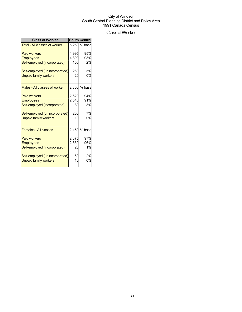## ClassofWorker

| <b>Class of Worker</b>               |       | <b>South Central</b> |
|--------------------------------------|-------|----------------------|
| <b>Total - All classes of worker</b> |       | 5.250 % base         |
| <b>Paid workers</b>                  | 4,995 | 95%                  |
| <b>Employees</b>                     | 4,890 | 93%                  |
| Self-employed (incorporated)         | 100   | 2%                   |
| Self-employed (unincorporated)       | 260   | 5%                   |
| <b>Unpaid family workers</b>         | 20    | 0%                   |
| Males - All classes of worker        | 2,800 | % base               |
| <b>Paid workers</b>                  | 2,620 | 94%                  |
| <b>Employees</b>                     | 2,540 | 91%                  |
| Self-employed (incorporated)         | 80    | 3%                   |
| Self-employed (unincorporated)       | 200   | 7%                   |
| <b>Unpaid family workers</b>         | 10    | 0%                   |
| <b>Females - All classes</b>         |       | 2,450 % base         |
| <b>Paid workers</b>                  | 2,375 | 97%                  |
| <b>Employees</b>                     | 2,350 | 96%                  |
| Self-employed (incorporated)         | 20    | 1%                   |
| Self-employed (unincorporated)       | 60    | 2%                   |
| <b>Unpaid family workers</b>         | 10    | 0%                   |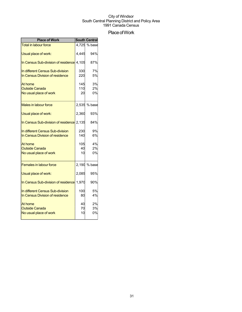## Place of Work

| <b>Place of Work</b>                                                |            | <b>South Central</b> |
|---------------------------------------------------------------------|------------|----------------------|
| <b>Total in labour force</b>                                        |            | 4,725 % base         |
| Usual place of work:                                                | 4,445      | 94%                  |
| In Census Sub-division of residence 4,105                           |            | 87%                  |
| In different Census Sub-division<br>In Census Division of residence | 330<br>220 | 7%<br>5%             |
|                                                                     |            |                      |
| At home                                                             | 145        | 3%                   |
| <b>Outside Canada</b>                                               | 110        | 2%                   |
| No usual place of work                                              | 20         | 0%                   |
| Males in labour force                                               | 2,535      | % base               |
| Usual place of work:                                                | 2,360      | 93%                  |
| In Census Sub-division of residence 2,135                           |            | 84%                  |
| In different Census Sub-division                                    | 230        | 9%                   |
| In Census Division of residence                                     | 140        | 6%                   |
| At home                                                             | 105        | 4%                   |
| <b>Outside Canada</b>                                               | 40         | 2%                   |
| No usual place of work                                              | 10         | 0%                   |
| <b>Females in labour force</b>                                      |            | 2,190 % base         |
| Usual place of work:                                                | 2,085      | 95%                  |
| In Census Sub-division of residence 1,970                           |            | 90%                  |
| In different Census Sub-division                                    | 100        | 5%                   |
| In Census Division of residence                                     | 80         | 4%                   |
| At home                                                             | 40         | 2%                   |
| <b>Outside Canada</b>                                               | 70         | 3%                   |
| No usual place of work                                              | 10         | 0%                   |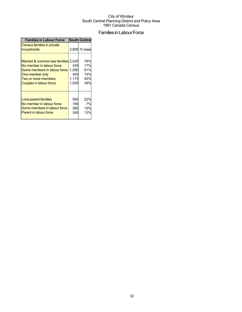## Families in Labour Force

| <b>Families in Labour Force</b>                                                                                                                                       |                                       | <b>South Central</b>                   |
|-----------------------------------------------------------------------------------------------------------------------------------------------------------------------|---------------------------------------|----------------------------------------|
| Census families in private<br>households                                                                                                                              |                                       | 2,600 % base                           |
| Married & common-law families 2,025<br>No member in labour force<br>Some members in labour force<br>One member only<br>Two or more members<br>Couples in labour force | 435<br>1,590<br>400<br>1,175<br>1,005 | 78%<br>17%<br>61%<br>15%<br>45%<br>39% |
| Lone-parent families<br>No member in labour force<br>Some members in labour force<br><b>Parent in labour force</b>                                                    | 560<br>180<br>385<br>345              | 22%<br>7%<br>15%<br>13%                |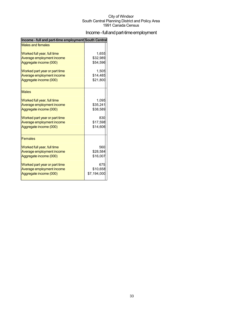## Income - full and part-time employment

| Income - full and part-time employment South Central |             |
|------------------------------------------------------|-------------|
| <b>Males and females</b>                             |             |
| Worked full year, full time                          | 1,655       |
| Average employment income                            | \$32,989    |
| Aggregate income (000)                               | \$54,596    |
| Worked part year or part time                        | 1,505       |
| Average employment income                            | \$14,485    |
| Aggregate income (000)                               | \$21,800    |
| <b>Males</b>                                         |             |
| Worked full year, full time                          | 1,095       |
| Average employment income                            | \$35,241    |
| Aggregate income (000)                               | \$38,589    |
| Worked part year or part time                        | 830         |
| Average employment income                            | \$17,598    |
| Aggregate income (000)                               | \$14,606    |
| <b>Females</b>                                       |             |
| Worked full year, full time                          | 560         |
| Average employment income                            | \$28,584    |
| Aggregate income (000)                               | \$16,007    |
| Worked part year or part time                        | 675         |
| Average employment income                            | \$10,658    |
| Aggregate income (000)                               | \$7,194,000 |
|                                                      |             |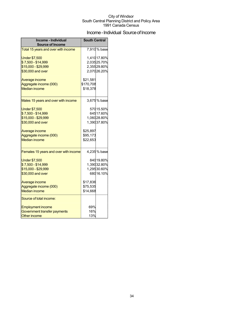## Income - Individual Source of Income

| Income - Individual<br><b>Source of Income</b> | <b>South Central</b>  |                            |  |
|------------------------------------------------|-----------------------|----------------------------|--|
| Total 15 years and over with income            |                       | 7,910% base                |  |
| <b>Under \$7,500</b><br>\$7,500 - \$14,999     |                       | 1,41017.80%<br>2,03525.70% |  |
| \$15,000 - \$29,999                            |                       | 2,35529.80%                |  |
| \$30,000 and over                              |                       | 2,07026.20%                |  |
| Average income<br>Aggregate income (000)       | \$21,581<br>\$170,708 |                            |  |
| <b>Median income</b>                           | \$18,378              |                            |  |
| Males 15 years and over with income            |                       | 3,675% base                |  |
| <b>Under \$7,500</b>                           |                       | 57015.50%                  |  |
| \$7,500 - \$14,999                             |                       | 64517.60%                  |  |
| \$15,000 - \$29,999                            |                       | 1,06028.80%                |  |
| \$30,000 and over                              |                       | 1,39037.80%                |  |
| Average income                                 | \$25,897              |                            |  |
| Aggregate income (000)                         | \$95,173              |                            |  |
| <b>Median income</b>                           | \$22,653              |                            |  |
| Females 15 years and over with income          |                       | 4,235% base                |  |
| <b>Under \$7,500</b>                           |                       | 840 19.80%                 |  |
| \$7,500 - \$14,999                             |                       | 1,39032.80%                |  |
| \$15,000 - \$29,999                            |                       | 1,29530.60%                |  |
| \$30,000 and over                              |                       | 68016.10%                  |  |
| Average income                                 | \$17,836              |                            |  |
| Aggregate income (000)                         | \$75,535              |                            |  |
| <b>Median income</b>                           | \$14,668              |                            |  |
| Source of total income:                        |                       |                            |  |
| <b>Employment income</b>                       | 69%                   |                            |  |
| Government transfer payments                   | 16%                   |                            |  |
| Other income                                   | 13%                   |                            |  |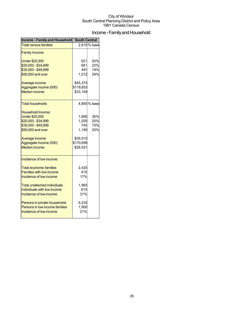## Income - Family and Household

| <b>Income - Family and Household</b> | <b>South Central</b> |             |  |
|--------------------------------------|----------------------|-------------|--|
| <b>Total census families</b>         |                      | 2,615% base |  |
| <b>Family Income:</b>                |                      |             |  |
| <b>Under \$20,000</b>                | 521                  | 20%         |  |
| \$20,000 - \$34,999                  | 581                  | 22%         |  |
| \$35,000 - \$49,999                  | 491                  | 19%         |  |
| \$50,000 and over                    | 1,012                | 39%         |  |
| Average income                       | \$45,374             |             |  |
| Aggregate income (000)               | \$118,653            |             |  |
| <b>Median income</b>                 | \$33,159             |             |  |
| Total households                     |                      | 4,855% base |  |
| <b>Household Income:</b>             |                      |             |  |
| <b>Under \$20,000</b>                | 1,690                | 35%         |  |
| \$20,000 - \$34,999                  | 1,205                | 25%         |  |
| \$35,000 - \$49,999                  | 745                  | 15%         |  |
| \$50,000 and over                    | 1,190                | 25%         |  |
| Average income                       | \$35,015             |             |  |
| Aggregate income (000)               | \$170,699            |             |  |
| <b>Median income</b>                 | \$28,931             |             |  |
| Incidence of low income:             |                      |             |  |
| <b>Total economic families</b>       | 2.420                |             |  |
| <b>Families with low income</b>      | 410                  |             |  |
| Incidence of low income              | 17%                  |             |  |
| Total unattached individuals         | 1,965                |             |  |
| Individuals with low income          | 610                  |             |  |
| Incidence of low income              | 31%                  |             |  |
| Persons in private households        | 9,235                |             |  |
| Persons in low income families       | 1,900                |             |  |
| Incidence of low income              | 21%                  |             |  |